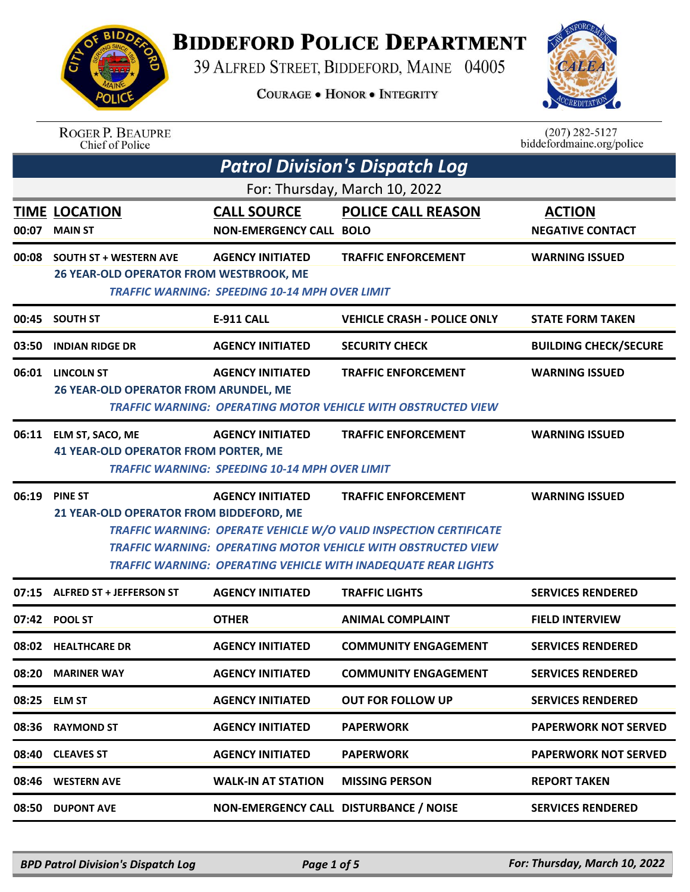

## **BIDDEFORD POLICE DEPARTMENT**

39 ALFRED STREET, BIDDEFORD, MAINE 04005

**COURAGE . HONOR . INTEGRITY** 



| <b>ROGER P. BEAUPRE</b> |
|-------------------------|
| Chief of Police         |

 $(207)$  282-5127<br>biddefordmaine.org/police

|       |                                                                          |                                                                                  | <b>Patrol Division's Dispatch Log</b>                                                                                                                                                                                                            |                                          |
|-------|--------------------------------------------------------------------------|----------------------------------------------------------------------------------|--------------------------------------------------------------------------------------------------------------------------------------------------------------------------------------------------------------------------------------------------|------------------------------------------|
|       |                                                                          |                                                                                  | For: Thursday, March 10, 2022                                                                                                                                                                                                                    |                                          |
| 00:07 | <b>TIME LOCATION</b><br><b>MAIN ST</b>                                   | <b>CALL SOURCE</b><br><b>NON-EMERGENCY CALL BOLO</b>                             | <b>POLICE CALL REASON</b>                                                                                                                                                                                                                        | <b>ACTION</b><br><b>NEGATIVE CONTACT</b> |
| 00:08 | <b>SOUTH ST + WESTERN AVE</b><br>26 YEAR-OLD OPERATOR FROM WESTBROOK, ME | <b>AGENCY INITIATED</b><br><b>TRAFFIC WARNING: SPEEDING 10-14 MPH OVER LIMIT</b> | <b>TRAFFIC ENFORCEMENT</b>                                                                                                                                                                                                                       | <b>WARNING ISSUED</b>                    |
|       | 00:45 SOUTH ST                                                           | <b>E-911 CALL</b>                                                                | <b>VEHICLE CRASH - POLICE ONLY</b>                                                                                                                                                                                                               | <b>STATE FORM TAKEN</b>                  |
| 03:50 | <b>INDIAN RIDGE DR</b>                                                   | <b>AGENCY INITIATED</b>                                                          | <b>SECURITY CHECK</b>                                                                                                                                                                                                                            | <b>BUILDING CHECK/SECURE</b>             |
|       | 06:01 LINCOLN ST<br><b>26 YEAR-OLD OPERATOR FROM ARUNDEL, ME</b>         | <b>AGENCY INITIATED</b>                                                          | <b>TRAFFIC ENFORCEMENT</b><br><b>TRAFFIC WARNING: OPERATING MOTOR VEHICLE WITH OBSTRUCTED VIEW</b>                                                                                                                                               | <b>WARNING ISSUED</b>                    |
| 06:11 | ELM ST, SACO, ME<br><b>41 YEAR-OLD OPERATOR FROM PORTER, ME</b>          | <b>AGENCY INITIATED</b><br><b>TRAFFIC WARNING: SPEEDING 10-14 MPH OVER LIMIT</b> | <b>TRAFFIC ENFORCEMENT</b>                                                                                                                                                                                                                       | <b>WARNING ISSUED</b>                    |
| 06:19 | <b>PINE ST</b><br>21 YEAR-OLD OPERATOR FROM BIDDEFORD, ME                | <b>AGENCY INITIATED</b>                                                          | <b>TRAFFIC ENFORCEMENT</b><br><b>TRAFFIC WARNING: OPERATE VEHICLE W/O VALID INSPECTION CERTIFICATE</b><br><b>TRAFFIC WARNING: OPERATING MOTOR VEHICLE WITH OBSTRUCTED VIEW</b><br>TRAFFIC WARNING: OPERATING VEHICLE WITH INADEQUATE REAR LIGHTS | <b>WARNING ISSUED</b>                    |
| 07:15 | <b>ALFRED ST + JEFFERSON ST</b>                                          | <b>AGENCY INITIATED</b>                                                          | <b>TRAFFIC LIGHTS</b>                                                                                                                                                                                                                            | <b>SERVICES RENDERED</b>                 |
| 07:42 | <b>POOL ST</b>                                                           | <b>OTHER</b>                                                                     | <b>ANIMAL COMPLAINT</b>                                                                                                                                                                                                                          | <b>FIELD INTERVIEW</b>                   |
|       | 08:02 HEALTHCARE DR                                                      | <b>AGENCY INITIATED</b>                                                          | <b>COMMUNITY ENGAGEMENT</b>                                                                                                                                                                                                                      | <b>SERVICES RENDERED</b>                 |
| 08:20 | <b>MARINER WAY</b>                                                       | <b>AGENCY INITIATED</b>                                                          | <b>COMMUNITY ENGAGEMENT</b>                                                                                                                                                                                                                      | <b>SERVICES RENDERED</b>                 |
| 08:25 | <b>ELM ST</b>                                                            | <b>AGENCY INITIATED</b>                                                          | <b>OUT FOR FOLLOW UP</b>                                                                                                                                                                                                                         | <b>SERVICES RENDERED</b>                 |
| 08:36 | <b>RAYMOND ST</b>                                                        | <b>AGENCY INITIATED</b>                                                          | <b>PAPERWORK</b>                                                                                                                                                                                                                                 | <b>PAPERWORK NOT SERVED</b>              |
| 08:40 | <b>CLEAVES ST</b>                                                        | <b>AGENCY INITIATED</b>                                                          | <b>PAPERWORK</b>                                                                                                                                                                                                                                 | <b>PAPERWORK NOT SERVED</b>              |
| 08:46 | <b>WESTERN AVE</b>                                                       | <b>WALK-IN AT STATION</b>                                                        | <b>MISSING PERSON</b>                                                                                                                                                                                                                            | <b>REPORT TAKEN</b>                      |
| 08:50 | <b>DUPONT AVE</b>                                                        |                                                                                  | NON-EMERGENCY CALL DISTURBANCE / NOISE                                                                                                                                                                                                           | <b>SERVICES RENDERED</b>                 |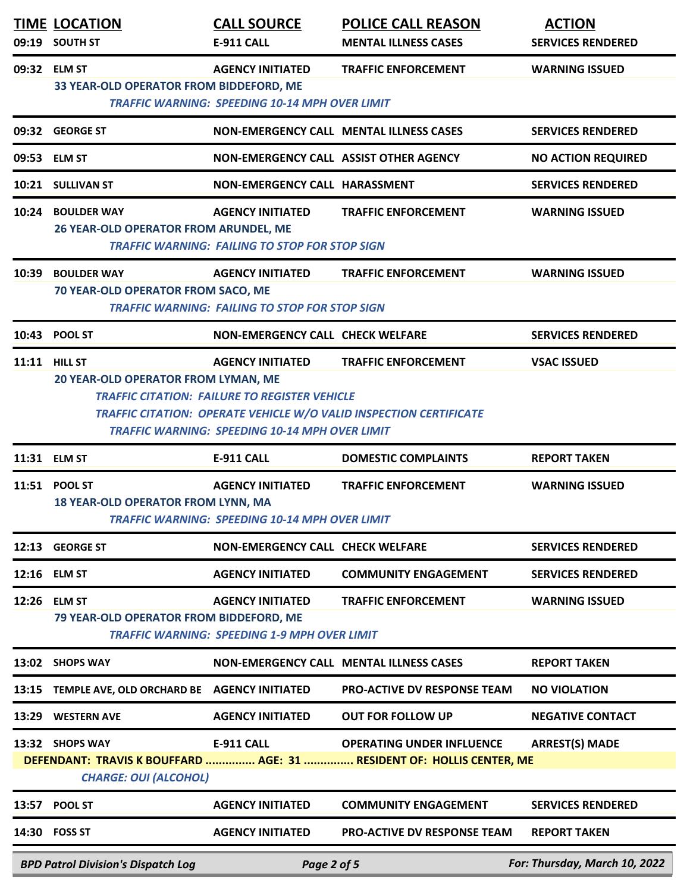| 09:19 | <b>TIME LOCATION</b><br><b>SOUTH ST</b>                     | <b>CALL SOURCE</b><br>E-911 CALL                                                                                                         | <b>POLICE CALL REASON</b><br><b>MENTAL ILLNESS CASES</b>                                                  | <b>ACTION</b><br><b>SERVICES RENDERED</b> |
|-------|-------------------------------------------------------------|------------------------------------------------------------------------------------------------------------------------------------------|-----------------------------------------------------------------------------------------------------------|-------------------------------------------|
|       | 09:32 ELM ST<br>33 YEAR-OLD OPERATOR FROM BIDDEFORD, ME     | <b>AGENCY INITIATED</b><br><b>TRAFFIC WARNING: SPEEDING 10-14 MPH OVER LIMIT</b>                                                         | <b>TRAFFIC ENFORCEMENT</b>                                                                                | <b>WARNING ISSUED</b>                     |
|       | 09:32 GEORGE ST                                             |                                                                                                                                          | NON-EMERGENCY CALL MENTAL ILLNESS CASES                                                                   | <b>SERVICES RENDERED</b>                  |
| 09:53 | <b>ELM ST</b>                                               | NON-EMERGENCY CALL ASSIST OTHER AGENCY                                                                                                   |                                                                                                           | <b>NO ACTION REQUIRED</b>                 |
|       | 10:21 SULLIVAN ST                                           | NON-EMERGENCY CALL HARASSMENT                                                                                                            |                                                                                                           | <b>SERVICES RENDERED</b>                  |
| 10:24 | <b>BOULDER WAY</b><br>26 YEAR-OLD OPERATOR FROM ARUNDEL, ME | <b>AGENCY INITIATED</b><br><b>TRAFFIC WARNING: FAILING TO STOP FOR STOP SIGN</b>                                                         | <b>TRAFFIC ENFORCEMENT</b>                                                                                | <b>WARNING ISSUED</b>                     |
| 10:39 | <b>BOULDER WAY</b><br>70 YEAR-OLD OPERATOR FROM SACO, ME    | <b>AGENCY INITIATED</b><br><b>TRAFFIC WARNING: FAILING TO STOP FOR STOP SIGN</b>                                                         | <b>TRAFFIC ENFORCEMENT</b>                                                                                | <b>WARNING ISSUED</b>                     |
| 10:43 | <b>POOL ST</b>                                              | <b>NON-EMERGENCY CALL CHECK WELFARE</b>                                                                                                  |                                                                                                           | <b>SERVICES RENDERED</b>                  |
|       | <b>11:11 HILL ST</b><br>20 YEAR-OLD OPERATOR FROM LYMAN, ME | <b>AGENCY INITIATED</b><br><b>TRAFFIC CITATION: FAILURE TO REGISTER VEHICLE</b><br><b>TRAFFIC WARNING: SPEEDING 10-14 MPH OVER LIMIT</b> | <b>TRAFFIC ENFORCEMENT</b><br><b>TRAFFIC CITATION: OPERATE VEHICLE W/O VALID INSPECTION CERTIFICATE</b>   | <b>VSAC ISSUED</b>                        |
|       | 11:31 ELM ST                                                | <b>E-911 CALL</b>                                                                                                                        | <b>DOMESTIC COMPLAINTS</b>                                                                                | <b>REPORT TAKEN</b>                       |
|       | 11:51 POOL ST<br>18 YEAR-OLD OPERATOR FROM LYNN, MA         | <b>AGENCY INITIATED</b><br><b>TRAFFIC WARNING: SPEEDING 10-14 MPH OVER LIMIT</b>                                                         | <b>TRAFFIC ENFORCEMENT</b>                                                                                | <b>WARNING ISSUED</b>                     |
| 12:13 | <b>GEORGE ST</b>                                            | <b>NON-EMERGENCY CALL CHECK WELFARE</b>                                                                                                  |                                                                                                           | <b>SERVICES RENDERED</b>                  |
| 12:16 | <b>ELM ST</b>                                               | <b>AGENCY INITIATED</b>                                                                                                                  | <b>COMMUNITY ENGAGEMENT</b>                                                                               | <b>SERVICES RENDERED</b>                  |
| 12:26 | <b>ELM ST</b><br>79 YEAR-OLD OPERATOR FROM BIDDEFORD, ME    | <b>AGENCY INITIATED</b><br><b>TRAFFIC WARNING: SPEEDING 1-9 MPH OVER LIMIT</b>                                                           | <b>TRAFFIC ENFORCEMENT</b>                                                                                | <b>WARNING ISSUED</b>                     |
| 13:02 | <b>SHOPS WAY</b>                                            |                                                                                                                                          | NON-EMERGENCY CALL MENTAL ILLNESS CASES                                                                   | <b>REPORT TAKEN</b>                       |
| 13:15 | TEMPLE AVE, OLD ORCHARD BE AGENCY INITIATED                 |                                                                                                                                          | <b>PRO-ACTIVE DV RESPONSE TEAM</b>                                                                        | <b>NO VIOLATION</b>                       |
| 13:29 | <b>WESTERN AVE</b>                                          | <b>AGENCY INITIATED</b>                                                                                                                  | <b>OUT FOR FOLLOW UP</b>                                                                                  | <b>NEGATIVE CONTACT</b>                   |
|       | 13:32 SHOPS WAY<br><b>CHARGE: OUI (ALCOHOL)</b>             | <b>E-911 CALL</b>                                                                                                                        | <b>OPERATING UNDER INFLUENCE</b><br>DEFENDANT: TRAVIS K BOUFFARD  AGE: 31  RESIDENT OF: HOLLIS CENTER, ME | <b>ARREST(S) MADE</b>                     |
| 13:57 | POOL ST                                                     | <b>AGENCY INITIATED</b>                                                                                                                  | <b>COMMUNITY ENGAGEMENT</b>                                                                               | <b>SERVICES RENDERED</b>                  |
| 14:30 | <b>FOSS ST</b>                                              | <b>AGENCY INITIATED</b>                                                                                                                  | <b>PRO-ACTIVE DV RESPONSE TEAM</b>                                                                        | <b>REPORT TAKEN</b>                       |
|       | <b>BPD Patrol Division's Dispatch Log</b>                   | Page 2 of 5                                                                                                                              |                                                                                                           | For: Thursday, March 10, 2022             |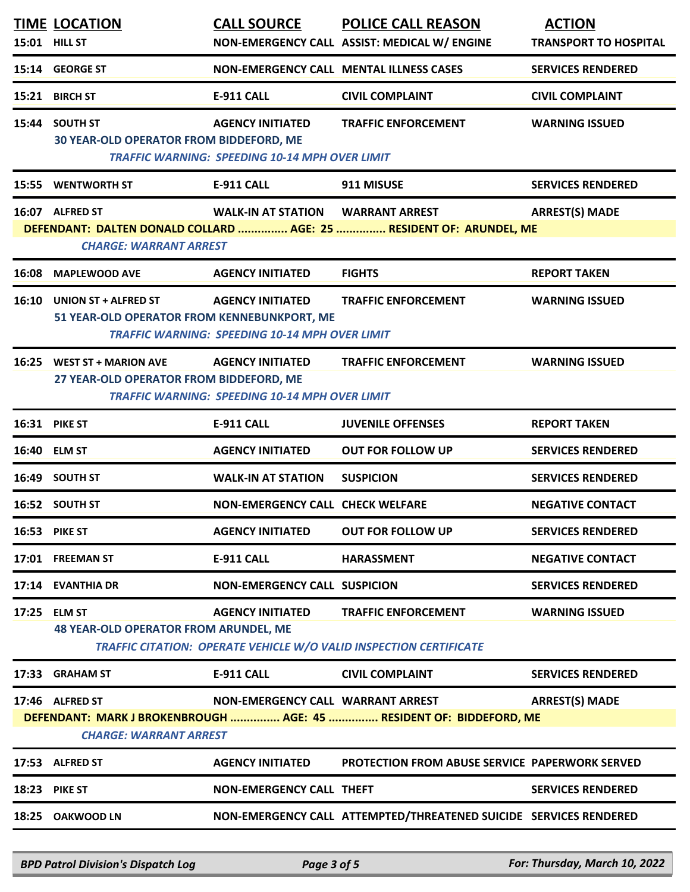|       | <b>TIME LOCATION</b><br>15:01 HILL ST                                      | <b>CALL SOURCE</b>                                                               | <b>POLICE CALL REASON</b><br>NON-EMERGENCY CALL ASSIST: MEDICAL W/ ENGINE                               | <b>ACTION</b><br><b>TRANSPORT TO HOSPITAL</b> |
|-------|----------------------------------------------------------------------------|----------------------------------------------------------------------------------|---------------------------------------------------------------------------------------------------------|-----------------------------------------------|
|       | 15:14 GEORGE ST                                                            |                                                                                  | NON-EMERGENCY CALL MENTAL ILLNESS CASES                                                                 | <b>SERVICES RENDERED</b>                      |
|       | 15:21 BIRCH ST                                                             | <b>E-911 CALL</b>                                                                | <b>CIVIL COMPLAINT</b>                                                                                  | <b>CIVIL COMPLAINT</b>                        |
| 15:44 | <b>SOUTH ST</b><br>30 YEAR-OLD OPERATOR FROM BIDDEFORD, ME                 | <b>AGENCY INITIATED</b><br><b>TRAFFIC WARNING: SPEEDING 10-14 MPH OVER LIMIT</b> | <b>TRAFFIC ENFORCEMENT</b>                                                                              | <b>WARNING ISSUED</b>                         |
|       | 15:55 WENTWORTH ST                                                         | <b>E-911 CALL</b>                                                                | 911 MISUSE                                                                                              | <b>SERVICES RENDERED</b>                      |
|       | 16:07 ALFRED ST<br><b>CHARGE: WARRANT ARREST</b>                           | WALK-IN AT STATION WARRANT ARREST                                                | DEFENDANT: DALTEN DONALD COLLARD  AGE: 25  RESIDENT OF: ARUNDEL, ME                                     | <b>ARREST(S) MADE</b>                         |
| 16:08 | <b>MAPLEWOOD AVE</b>                                                       | <b>AGENCY INITIATED</b>                                                          | <b>FIGHTS</b>                                                                                           | <b>REPORT TAKEN</b>                           |
| 16:10 | <b>UNION ST + ALFRED ST</b><br>51 YEAR-OLD OPERATOR FROM KENNEBUNKPORT, ME | <b>AGENCY INITIATED</b><br><b>TRAFFIC WARNING: SPEEDING 10-14 MPH OVER LIMIT</b> | <b>TRAFFIC ENFORCEMENT</b>                                                                              | <b>WARNING ISSUED</b>                         |
|       | 16:25 WEST ST + MARION AVE<br>27 YEAR-OLD OPERATOR FROM BIDDEFORD, ME      | <b>AGENCY INITIATED</b><br><b>TRAFFIC WARNING: SPEEDING 10-14 MPH OVER LIMIT</b> | <b>TRAFFIC ENFORCEMENT</b>                                                                              | <b>WARNING ISSUED</b>                         |
|       | <b>16:31 PIKE ST</b>                                                       | <b>E-911 CALL</b>                                                                | <b>JUVENILE OFFENSES</b>                                                                                | <b>REPORT TAKEN</b>                           |
|       | 16:40 ELM ST                                                               | <b>AGENCY INITIATED</b>                                                          | <b>OUT FOR FOLLOW UP</b>                                                                                | <b>SERVICES RENDERED</b>                      |
|       | 16:49 SOUTH ST                                                             | <b>WALK-IN AT STATION</b>                                                        | <b>SUSPICION</b>                                                                                        | <b>SERVICES RENDERED</b>                      |
|       | 16:52 SOUTH ST                                                             | <b>NON-EMERGENCY CALL CHECK WELFARE</b>                                          |                                                                                                         | <b>NEGATIVE CONTACT</b>                       |
|       | <b>16:53 PIKE ST</b>                                                       | <b>AGENCY INITIATED</b>                                                          | <b>OUT FOR FOLLOW UP</b>                                                                                | <b>SERVICES RENDERED</b>                      |
|       | 17:01 FREEMAN ST                                                           | E-911 CALL                                                                       | <b>HARASSMENT</b>                                                                                       | <b>NEGATIVE CONTACT</b>                       |
|       | 17:14 EVANTHIA DR                                                          | <b>NON-EMERGENCY CALL SUSPICION</b>                                              |                                                                                                         | <b>SERVICES RENDERED</b>                      |
|       | 17:25 ELM ST<br><b>48 YEAR-OLD OPERATOR FROM ARUNDEL, ME</b>               | <b>AGENCY INITIATED</b>                                                          | <b>TRAFFIC ENFORCEMENT</b><br><b>TRAFFIC CITATION: OPERATE VEHICLE W/O VALID INSPECTION CERTIFICATE</b> | <b>WARNING ISSUED</b>                         |
|       | 17:33 GRAHAM ST                                                            | E-911 CALL                                                                       | <b>CIVIL COMPLAINT</b>                                                                                  | <b>SERVICES RENDERED</b>                      |
|       | 17:46 ALFRED ST<br><b>CHARGE: WARRANT ARREST</b>                           | NON-EMERGENCY CALL WARRANT ARREST                                                | DEFENDANT: MARK J BROKENBROUGH  AGE: 45  RESIDENT OF: BIDDEFORD, ME                                     | <b>ARREST(S) MADE</b>                         |
|       | 17:53 ALFRED ST                                                            | <b>AGENCY INITIATED</b>                                                          | <b>PROTECTION FROM ABUSE SERVICE PAPERWORK SERVED</b>                                                   |                                               |
|       | <b>18:23 PIKE ST</b>                                                       | <b>NON-EMERGENCY CALL THEFT</b>                                                  |                                                                                                         | <b>SERVICES RENDERED</b>                      |
|       | 18:25 OAKWOOD LN                                                           |                                                                                  | NON-EMERGENCY CALL ATTEMPTED/THREATENED SUICIDE SERVICES RENDERED                                       |                                               |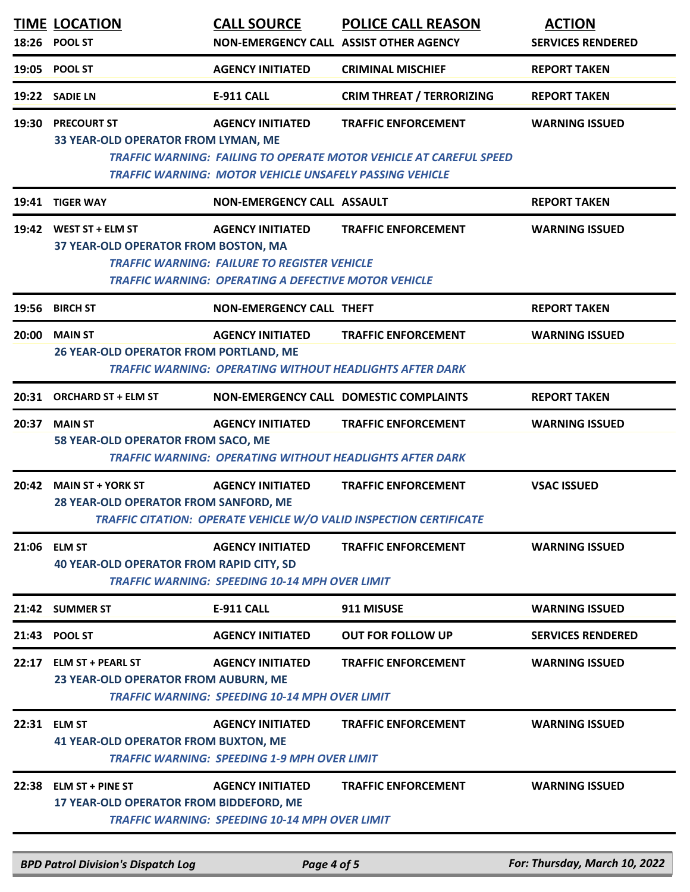|       | <b>TIME LOCATION</b><br>18:26 POOL ST                              | <b>CALL SOURCE</b>                                                                                                                            | <b>POLICE CALL REASON</b><br>NON-EMERGENCY CALL ASSIST OTHER AGENCY                                     | <b>ACTION</b><br><b>SERVICES RENDERED</b> |
|-------|--------------------------------------------------------------------|-----------------------------------------------------------------------------------------------------------------------------------------------|---------------------------------------------------------------------------------------------------------|-------------------------------------------|
| 19:05 | <b>POOL ST</b>                                                     | <b>AGENCY INITIATED</b>                                                                                                                       | <b>CRIMINAL MISCHIEF</b>                                                                                | <b>REPORT TAKEN</b>                       |
|       | 19:22 SADIE LN                                                     | <b>E-911 CALL</b>                                                                                                                             | <b>CRIM THREAT / TERRORIZING</b>                                                                        | <b>REPORT TAKEN</b>                       |
| 19:30 | <b>PRECOURT ST</b><br>33 YEAR-OLD OPERATOR FROM LYMAN, ME          | <b>AGENCY INITIATED</b><br><b>TRAFFIC WARNING: MOTOR VEHICLE UNSAFELY PASSING VEHICLE</b>                                                     | <b>TRAFFIC ENFORCEMENT</b><br><b>TRAFFIC WARNING: FAILING TO OPERATE MOTOR VEHICLE AT CAREFUL SPEED</b> | <b>WARNING ISSUED</b>                     |
| 19:41 | <b>TIGER WAY</b>                                                   | NON-EMERGENCY CALL ASSAULT                                                                                                                    |                                                                                                         | <b>REPORT TAKEN</b>                       |
|       | 19:42 WEST ST + ELM ST<br>37 YEAR-OLD OPERATOR FROM BOSTON, MA     | <b>AGENCY INITIATED</b><br><b>TRAFFIC WARNING: FAILURE TO REGISTER VEHICLE</b><br><b>TRAFFIC WARNING: OPERATING A DEFECTIVE MOTOR VEHICLE</b> | <b>TRAFFIC ENFORCEMENT</b>                                                                              | <b>WARNING ISSUED</b>                     |
|       | 19:56 BIRCH ST                                                     | <b>NON-EMERGENCY CALL THEFT</b>                                                                                                               |                                                                                                         | <b>REPORT TAKEN</b>                       |
| 20:00 | <b>MAIN ST</b><br>26 YEAR-OLD OPERATOR FROM PORTLAND, ME           | <b>AGENCY INITIATED</b>                                                                                                                       | <b>TRAFFIC ENFORCEMENT</b><br><b>TRAFFIC WARNING: OPERATING WITHOUT HEADLIGHTS AFTER DARK</b>           | <b>WARNING ISSUED</b>                     |
| 20:31 | <b>ORCHARD ST + ELM ST</b>                                         |                                                                                                                                               | NON-EMERGENCY CALL DOMESTIC COMPLAINTS                                                                  | <b>REPORT TAKEN</b>                       |
| 20:37 | <b>MAIN ST</b><br>58 YEAR-OLD OPERATOR FROM SACO, ME               | <b>AGENCY INITIATED</b>                                                                                                                       | <b>TRAFFIC ENFORCEMENT</b><br><b>TRAFFIC WARNING: OPERATING WITHOUT HEADLIGHTS AFTER DARK</b>           | <b>WARNING ISSUED</b>                     |
| 20:42 | <b>MAIN ST + YORK ST</b><br>28 YEAR-OLD OPERATOR FROM SANFORD, ME  | <b>AGENCY INITIATED</b>                                                                                                                       | <b>TRAFFIC ENFORCEMENT</b><br>TRAFFIC CITATION: OPERATE VEHICLE W/O VALID INSPECTION CERTIFICATE        | <b>VSAC ISSUED</b>                        |
| 21:06 | <b>ELM ST</b><br><b>40 YEAR-OLD OPERATOR FROM RAPID CITY, SD</b>   | <b>AGENCY INITIATED</b><br><b>TRAFFIC WARNING: SPEEDING 10-14 MPH OVER LIMIT</b>                                                              | <b>TRAFFIC ENFORCEMENT</b>                                                                              | <b>WARNING ISSUED</b>                     |
| 21:42 | <b>SUMMER ST</b>                                                   | <b>E-911 CALL</b>                                                                                                                             | 911 MISUSE                                                                                              | <b>WARNING ISSUED</b>                     |
|       | 21:43 POOL ST                                                      | <b>AGENCY INITIATED</b>                                                                                                                       | <b>OUT FOR FOLLOW UP</b>                                                                                | <b>SERVICES RENDERED</b>                  |
| 22:17 | <b>ELM ST + PEARL ST</b><br>23 YEAR-OLD OPERATOR FROM AUBURN, ME   | <b>AGENCY INITIATED</b><br><b>TRAFFIC WARNING: SPEEDING 10-14 MPH OVER LIMIT</b>                                                              | <b>TRAFFIC ENFORCEMENT</b>                                                                              | <b>WARNING ISSUED</b>                     |
| 22:31 | <b>ELM ST</b><br><b>41 YEAR-OLD OPERATOR FROM BUXTON, ME</b>       | <b>AGENCY INITIATED</b><br><b>TRAFFIC WARNING: SPEEDING 1-9 MPH OVER LIMIT</b>                                                                | <b>TRAFFIC ENFORCEMENT</b>                                                                              | <b>WARNING ISSUED</b>                     |
| 22:38 | <b>ELM ST + PINE ST</b><br>17 YEAR-OLD OPERATOR FROM BIDDEFORD, ME | <b>AGENCY INITIATED</b><br><b>TRAFFIC WARNING: SPEEDING 10-14 MPH OVER LIMIT</b>                                                              | <b>TRAFFIC ENFORCEMENT</b>                                                                              | <b>WARNING ISSUED</b>                     |
|       | <b>BPD Patrol Division's Dispatch Log</b>                          | Page 4 of 5                                                                                                                                   |                                                                                                         | For: Thursday, March 10, 2022             |